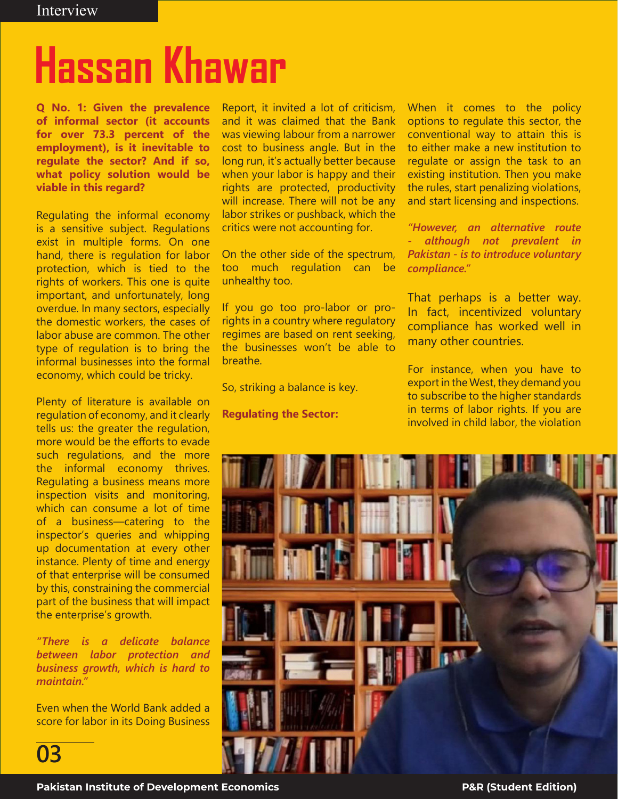# **Hassan Khawar**

**Q No. 1: Given the prevalence of informal sector (it accounts for over 73.3 percent of the employment), is it inevitable to regulate the sector? And if so, what policy solution would be viable in this regard?**

Regulating the informal economy is a sensitive subject. Regulations exist in multiple forms. On one hand, there is regulation for labor protection, which is tied to the rights of workers. This one is quite important, and unfortunately, long overdue. In many sectors, especially the domestic workers, the cases of labor abuse are common. The other type of regulation is to bring the informal businesses into the formal economy, which could be tricky.

Plenty of literature is available on regulation of economy, and it clearly tells us: the greater the regulation, more would be the efforts to evade such regulations, and the more the informal economy thrives. Regulating a business means more inspection visits and monitoring, which can consume a lot of time of a business—catering to the inspector's queries and whipping up documentation at every other instance. Plenty of time and energy of that enterprise will be consumed by this, constraining the commercial part of the business that will impact the enterprise's growth.

*"There is a delicate balance between labor protection and business growth, which is hard to maintain."*

Even when the World Bank added a score for labor in its Doing Business

**03**

Report, it invited a lot of criticism, and it was claimed that the Bank was viewing labour from a narrower cost to business angle. But in the long run, it's actually better because when your labor is happy and their rights are protected, productivity will increase. There will not be any labor strikes or pushback, which the critics were not accounting for.

On the other side of the spectrum, too much regulation can be unhealthy too.

If you go too pro-labor or prorights in a country where regulatory regimes are based on rent seeking, the businesses won't be able to breathe.

So, striking a balance is key.

**Regulating the Sector:**

When it comes to the policy options to regulate this sector, the conventional way to attain this is to either make a new institution to regulate or assign the task to an existing institution. Then you make the rules, start penalizing violations, and start licensing and inspections.

*"However, an alternative route - although not prevalent in Pakistan - is to introduce voluntary compliance."* 

That perhaps is a better way. In fact, incentivized voluntary compliance has worked well in many other countries.

For instance, when you have to export in the West, they demand you to subscribe to the higher standards in terms of labor rights. If you are involved in child labor, the violation

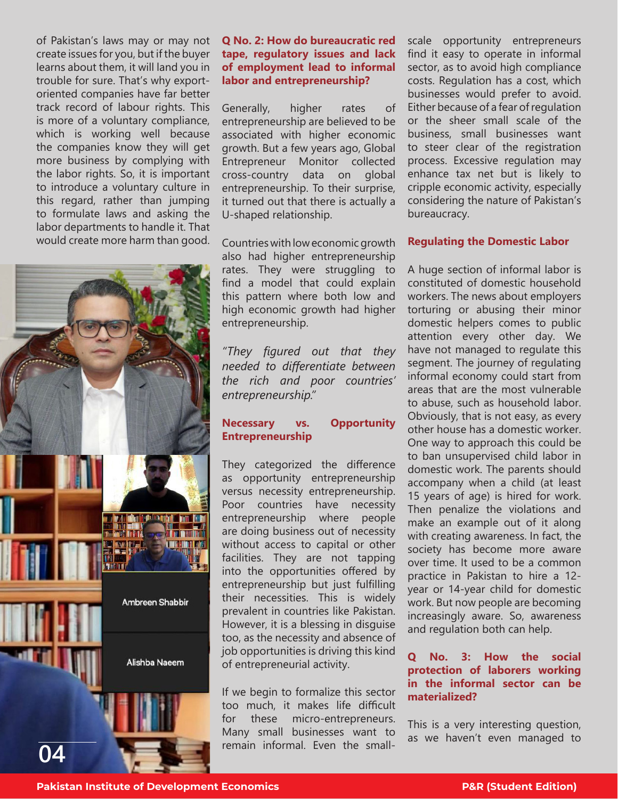of Pakistan's laws may or may not create issues for you, but if the buyer learns about them, it will land you in trouble for sure. That's why exportoriented companies have far better track record of labour rights. This is more of a voluntary compliance, which is working well because the companies know they will get more business by complying with the labor rights. So, it is important to introduce a voluntary culture in this regard, rather than jumping to formulate laws and asking the labor departments to handle it. That would create more harm than good.



## **Q No. 2: How do bureaucratic red tape, regulatory issues and lack of employment lead to informal labor and entrepreneurship?**

Generally, higher rates of entrepreneurship are believed to be associated with higher economic growth. But a few years ago, Global Entrepreneur Monitor collected cross-country data on global entrepreneurship. To their surprise, it turned out that there is actually a U-shaped relationship.

Countries with low economic growth also had higher entrepreneurship rates. They were struggling to find a model that could explain this pattern where both low and high economic growth had higher entrepreneurship.

*"They figured out that they needed to differentiate between the rich and poor countries' entrepreneurship."*

## **Necessary vs. Opportunity Entrepreneurship**

They categorized the difference as opportunity entrepreneurship versus necessity entrepreneurship. Poor countries have necessity entrepreneurship where people are doing business out of necessity without access to capital or other facilities. They are not tapping into the opportunities offered by entrepreneurship but just fulfilling their necessities. This is widely prevalent in countries like Pakistan. However, it is a blessing in disguise too, as the necessity and absence of job opportunities is driving this kind of entrepreneurial activity.

If we begin to formalize this sector too much, it makes life difficult for these micro-entrepreneurs. Many small businesses want to remain informal. Even the smallscale opportunity entrepreneurs find it easy to operate in informal sector, as to avoid high compliance costs. Regulation has a cost, which businesses would prefer to avoid. Either because of a fear of regulation or the sheer small scale of the business, small businesses want to steer clear of the registration process. Excessive regulation may enhance tax net but is likely to cripple economic activity, especially considering the nature of Pakistan's bureaucracy.

## **Regulating the Domestic Labor**

A huge section of informal labor is constituted of domestic household workers. The news about employers torturing or abusing their minor domestic helpers comes to public attention every other day. We have not managed to regulate this segment. The journey of regulating informal economy could start from areas that are the most vulnerable to abuse, such as household labor. Obviously, that is not easy, as every other house has a domestic worker. One way to approach this could be to ban unsupervised child labor in domestic work. The parents should accompany when a child (at least 15 years of age) is hired for work. Then penalize the violations and make an example out of it along with creating awareness. In fact, the society has become more aware over time. It used to be a common practice in Pakistan to hire a 12 year or 14-year child for domestic work. But now people are becoming increasingly aware. So, awareness and regulation both can help.

## **Q No. 3: How the social protection of laborers working in the informal sector can be materialized?**

This is a very interesting question, as we haven't even managed to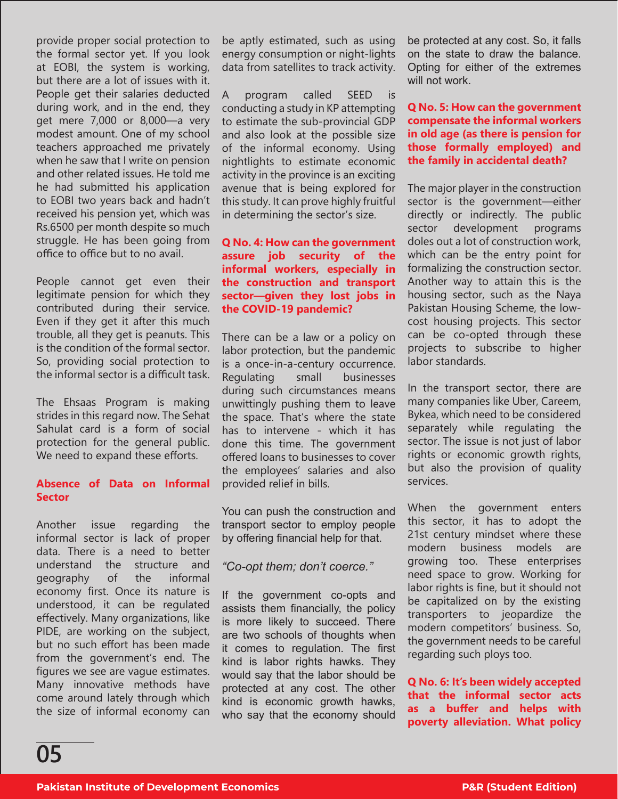provide proper social protection to the formal sector yet. If you look at EOBI, the system is working, but there are a lot of issues with it. People get their salaries deducted during work, and in the end, they get mere 7,000 or 8,000—a very modest amount. One of my school teachers approached me privately when he saw that I write on pension and other related issues. He told me he had submitted his application to EOBI two years back and hadn't received his pension yet, which was Rs.6500 per month despite so much struggle. He has been going from office to office but to no avail.

People cannot get even their legitimate pension for which they contributed during their service. Even if they get it after this much trouble, all they get is peanuts. This is the condition of the formal sector. So, providing social protection to the informal sector is a difficult task.

The Ehsaas Program is making strides in this regard now. The Sehat Sahulat card is a form of social protection for the general public. We need to expand these efforts.

#### **Absence of Data on Informal Sector**

Another issue regarding the informal sector is lack of proper data. There is a need to better understand the structure and geography of the informal economy first. Once its nature is understood, it can be regulated effectively. Many organizations, like PIDE, are working on the subject, but no such effort has been made from the government's end. The figures we see are vague estimates. Many innovative methods have come around lately through which the size of informal economy can be aptly estimated, such as using energy consumption or night-lights data from satellites to track activity.

A program called SEED is conducting a study in KP attempting to estimate the sub-provincial GDP and also look at the possible size of the informal economy. Using nightlights to estimate economic activity in the province is an exciting avenue that is being explored for this study. It can prove highly fruitful in determining the sector's size.

#### **Q No. 4: How can the government assure job security of the informal workers, especially in the construction and transport sector—given they lost jobs in the COVID-19 pandemic?**

There can be a law or a policy on labor protection, but the pandemic is a once-in-a-century occurrence. Regulating small businesses during such circumstances means unwittingly pushing them to leave the space. That's where the state has to intervene - which it has done this time. The government offered loans to businesses to cover the employees' salaries and also provided relief in bills.

You can push the construction and transport sector to employ people by offering financial help for that.

## *"Co-opt them; don't coerce."*

If the government co-opts and assists them financially, the policy is more likely to succeed. There are two schools of thoughts when it comes to regulation. The first kind is labor rights hawks. They would say that the labor should be protected at any cost. The other kind is economic growth hawks, who say that the economy should

be protected at any cost. So, it falls on the state to draw the balance. Opting for either of the extremes will not work

## **Q No. 5: How can the government compensate the informal workers in old age (as there is pension for those formally employed) and the family in accidental death?**

The major player in the construction sector is the government—either directly or indirectly. The public sector development programs doles out a lot of construction work, which can be the entry point for formalizing the construction sector. Another way to attain this is the housing sector, such as the Naya Pakistan Housing Scheme, the lowcost housing projects. This sector can be co-opted through these projects to subscribe to higher labor standards.

In the transport sector, there are many companies like Uber, Careem, Bykea, which need to be considered separately while regulating the sector. The issue is not just of labor rights or economic growth rights, but also the provision of quality services.

When the government enters this sector, it has to adopt the 21st century mindset where these modern business models are growing too. These enterprises need space to grow. Working for labor rights is fine, but it should not be capitalized on by the existing transporters to jeopardize the modern competitors' business. So, the government needs to be careful regarding such ploys too.

**Q No. 6: It's been widely accepted that the informal sector acts as a buffer and helps with poverty alleviation. What policy**